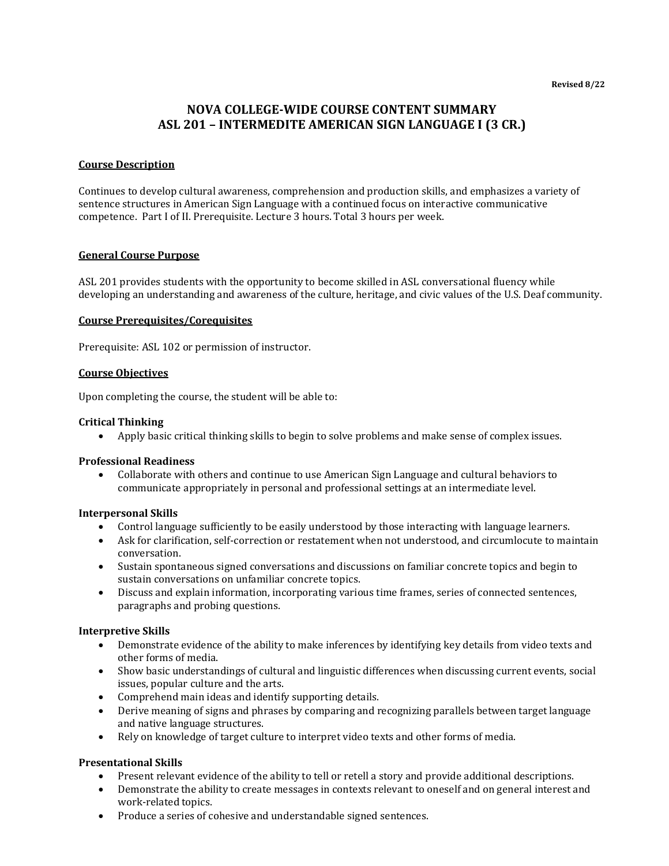# **NOVA COLLEGE-WIDE COURSE CONTENT SUMMARY ASL 201 – INTERMEDITE AMERICAN SIGN LANGUAGE I (3 CR.)**

# **Course Description**

Continues to develop cultural awareness, comprehension and production skills, and emphasizes a variety of sentence structures in American Sign Language with a continued focus on interactive communicative competence. Part I of II. Prerequisite. Lecture 3 hours. Total 3 hours per week.

# **General Course Purpose**

ASL 201 provides students with the opportunity to become skilled in ASL conversational fluency while developing an understanding and awareness of the culture, heritage, and civic values of the U.S. Deaf community.

### **Course Prerequisites/Corequisites**

Prerequisite: ASL 102 or permission of instructor.

# **Course Objectives**

Upon completing the course, the student will be able to:

### **Critical Thinking**

• Apply basic critical thinking skills to begin to solve problems and make sense of complex issues.

#### **Professional Readiness**

• Collaborate with others and continue to use American Sign Language and cultural behaviors to communicate appropriately in personal and professional settings at an intermediate level.

#### **Interpersonal Skills**

- Control language sufficiently to be easily understood by those interacting with language learners.
- Ask for clarification, self-correction or restatement when not understood, and circumlocute to maintain conversation.
- Sustain spontaneous signed conversations and discussions on familiar concrete topics and begin to sustain conversations on unfamiliar concrete topics.
- Discuss and explain information, incorporating various time frames, series of connected sentences, paragraphs and probing questions.

# **Interpretive Skills**

- Demonstrate evidence of the ability to make inferences by identifying key details from video texts and other forms of media.
- Show basic understandings of cultural and linguistic differences when discussing current events, social issues, popular culture and the arts.
- Comprehend main ideas and identify supporting details.
- Derive meaning of signs and phrases by comparing and recognizing parallels between target language and native language structures.
- Rely on knowledge of target culture to interpret video texts and other forms of media.

# **Presentational Skills**

- Present relevant evidence of the ability to tell or retell a story and provide additional descriptions.
- Demonstrate the ability to create messages in contexts relevant to oneself and on general interest and work-related topics.
- Produce a series of cohesive and understandable signed sentences.